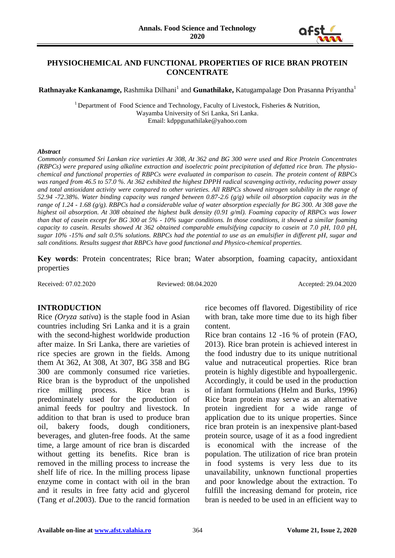

### **PHYSIOCHEMICAL AND FUNCTIONAL PROPERTIES OF RICE BRAN PROTEIN CONCENTRATE**

**Rathnayake Kankanamge,** Rashmika Dilhani<sup>1</sup> and **Gunathilake,** Katugampalage Don Prasanna Priyantha<sup>1</sup>

<sup>1</sup> Department of Food Science and Technology, Faculty of Livestock, Fisheries & Nutrition, Wayamba University of Sri Lanka, Sri Lanka. Email: kdppgunathilake@yahoo.com

#### *Abstract*

*Commonly consumed Sri Lankan rice varieties At 308, At 362 and BG 300 were used and Rice Protein Concentrates (RBPCs) were prepared using alkaline extraction and isoelectric point precipitation of defatted rice bran. The physiochemical and functional properties of RBPCs were evaluated in comparison to casein. The protein content of RBPCs was ranged from 46.5 to 57.0 %. At 362 exhibited the highest DPPH radical scavenging activity, reducing power assay and total antioxidant activity were compared to other varieties. All RBPCs showed nitrogen solubility in the range of 52.94 -72.38%. Water binding capacity was ranged between 0.87-2.6 (g/g) while oil absorption capacity was in the range of 1.24 - 1.68 (g/g). RBPCs had a considerable value of water absorption especially for BG 300. At 308 gave the highest oil absorption. At 308 obtained the highest bulk density (0.91 g/ml). Foaming capacity of RBPCs was lower than that of casein except for BG 300 at 5% - 10% sugar conditions. In those conditions, it showed a similar foaming capacity to casein. Results showed At 362 obtained comparable emulsifying capacity to casein at 7.0 pH, 10.0 pH, sugar 10% -15% and salt 0.5% solutions. RBPCs had the potential to use as an emulsifier in different pH, sugar and salt conditions. Results suggest that RBPCs have good functional and Physico-chemical properties.*

**Key words**: Protein concentrates; Rice bran; Water absorption, foaming capacity, antioxidant properties

Received: 07.02.2020 Reviewed: 08.04.2020 Accepted: 29.04.2020

#### **INTRODUCTION**

Rice *(Oryza sativa*) is the staple food in Asian countries including Sri Lanka and it is a grain with the second-highest worldwide production after maize. In Sri Lanka, there are varieties of rice species are grown in the fields. Among them At 362, At 308, At 307, BG 358 and BG 300 are commonly consumed rice varieties. Rice bran is the byproduct of the unpolished rice milling process. Rice bran is predominately used for the production of animal feeds for poultry and livestock. In addition to that bran is used to produce bran oil, bakery foods, dough conditioners, beverages, and gluten-free foods. At the same time, a large amount of rice bran is discarded without getting its benefits. Rice bran is removed in the milling process to increase the shelf life of rice. In the milling process lipase enzyme come in contact with oil in the bran and it results in free fatty acid and glycerol (Tang *et al*.2003). Due to the rancid formation rice becomes off flavored. Digestibility of rice with bran, take more time due to its high fiber content.

Rice bran contains 12 -16 % of protein (FAO, 2013). Rice bran protein is achieved interest in the food industry due to its unique nutritional value and nutraceutical properties. Rice bran protein is highly digestible and hypoallergenic. Accordingly, it could be used in the production of infant formulations (Helm and Burks, 1996) Rice bran protein may serve as an alternative protein ingredient for a wide range of application due to its unique properties. Since rice bran protein is an inexpensive plant-based protein source, usage of it as a food ingredient is economical with the increase of the population. The utilization of rice bran protein in food systems is very less due to its unavailability, unknown functional properties and poor knowledge about the extraction. To fulfill the increasing demand for protein, rice bran is needed to be used in an efficient way to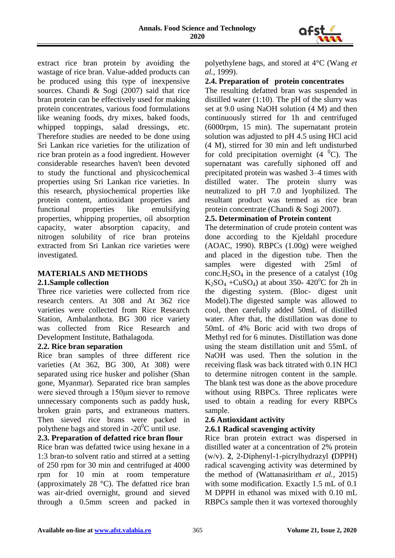

extract rice bran protein by avoiding the wastage of rice bran. Value-added products can be produced using this type of inexpensive sources. Chandi & Sogi (2007) said that rice bran protein can be effectively used for making protein concentrates, various food formulations like weaning foods, dry mixes, baked foods, whipped toppings, salad dressings, etc. Therefore studies are needed to be done using Sri Lankan rice varieties for the utilization of rice bran protein as a food ingredient. However considerable researches haven't been devoted to study the functional and physicochemical properties using Sri Lankan rice varieties. In this research, physiochemical properties like protein content, antioxidant properties and functional properties like emulsifying properties, whipping properties, oil absorption capacity, water absorption capacity, and nitrogen solubility of rice bran proteins extracted from Sri Lankan rice varieties were investigated.

### **MATERIALS AND METHODS**

#### **2.1.Sample collection**

Three rice varieties were collected from rice research centers. At 308 and At 362 rice varieties were collected from Rice Research Station, Ambalanthota. BG 300 rice variety was collected from Rice Research and Development Institute, Bathalagoda.

#### **2.2. Rice bran separation**

Rice bran samples of three different rice varieties (At 362, BG 300, At 308) were separated using rice husker and polisher (Shan gone, Myanmar). Separated rice bran samples were sieved through a 150μm siever to remove unnecessary components such as paddy husk, broken grain parts, and extraneous matters. Then sieved rice brans were packed in polythene bags and stored in  $-20^0C$  until use.

#### **2.3. Preparation of defatted rice bran flour**

Rice bran was defatted twice using hexane in a 1:3 bran-to solvent ratio and stirred at a setting of 250 rpm for 30 min and centrifuged at 4000 rpm for 10 min at room temperature (approximately 28 °C). The defatted rice bran was air-dried overnight, ground and sieved through a 0.5mm screen and packed in polyethylene bags, and stored at 4°C (Wang *et al.*, 1999).

#### **2.4. Preparation of protein concentrates**

The resulting defatted bran was suspended in distilled water (1:10). The pH of the slurry was set at 9.0 using NaOH solution (4 M) and then continuously stirred for 1h and centrifuged (6000rpm, 15 min). The supernatant protein solution was adjusted to pH 4.5 using HCl acid (4 M), stirred for 30 min and left undisturbed for cold precipitation overnight  $(4 \text{ }^0C)$ . The supernatant was carefully siphoned off and precipitated protein was washed 3–4 times with distilled water. The protein slurry was neutralized to pH 7.0 and lyophilized. The resultant product was termed as rice bran protein concentrate (Chandi & Sogi 2007).

### **2.5. Determination of Protein content**

The determination of crude protein content was done according to the Kjeldahl procedure (AOAC, 1990). RBPCs (1.00g) were weighed and placed in the digestion tube. Then the samples were digested with 25ml of conc.H<sub>2</sub>SO<sub>4</sub> in the presence of a catalyst  $(10g)$  $K_2SO_4$  +CuSO<sub>4</sub>) at about 350- 420<sup>o</sup>C for 2h in the digesting system. (Bloc- digest unit Model).The digested sample was allowed to cool, then carefully added 50mL of distilled water. After that, the distillation was done to 50mL of 4% Boric acid with two drops of Methyl red for 6 minutes. Distillation was done using the steam distillation unit and 55mL of NaOH was used. Then the solution in the receiving flask was back titrated with 0.1N HCl to determine nitrogen content in the sample. The blank test was done as the above procedure without using RBPCs. Three replicates were used to obtain a reading for every RBPCs sample.

## **2.6 Antioxidant activity**

# **2.6.1 Radical scavenging activity**

Rice bran protein extract was dispersed in distilled water at a concentration of 2% protein (w/v). **2**, 2-Diphenyl-1-picrylhydrazyl **(**DPPH) radical scavenging activity was determined by the method of (Wattanasiritham *et al.,* 2015) with some modification. Exactly 1.5 mL of 0.1 M DPPH in ethanol was mixed with 0.10 mL RBPCs sample then it was vortexed thoroughly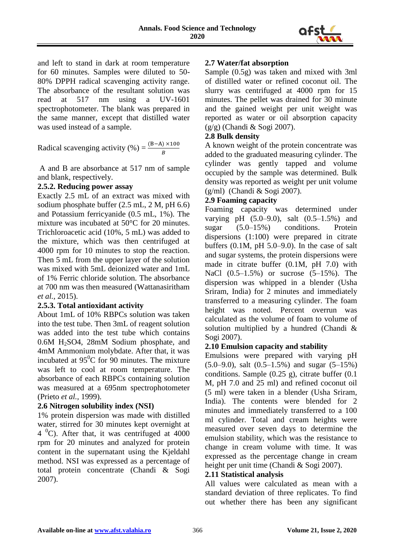

and left to stand in dark at room temperature for 60 minutes. Samples were diluted to 50- 80% DPPH radical scavenging activity range. The absorbance of the resultant solution was read at 517 nm using a UV-1601 spectrophotometer. The blank was prepared in the same manner, except that distilled water was used instead of a sample.

Radical scavenging activity (%) =  $\frac{(B-A) \times 100}{R}$ B

A and B are absorbance at 517 nm of sample and blank, respectively.

### **2.5.2. Reducing power assay**

Exactly 2.5 mL of an extract was mixed with sodium phosphate buffer (2.5 mL, 2 M, pH 6.6) and Potassium ferricyanide (0.5 mL, 1%). The mixture was incubated at 50°C for 20 minutes. Trichloroacetic acid (10%, 5 mL) was added to the mixture, which was then centrifuged at 4000 rpm for 10 minutes to stop the reaction. Then 5 mL from the upper layer of the solution was mixed with 5mL deionized water and 1mL of 1% Ferric chloride solution. The absorbance at 700 nm was then measured (Wattanasiritham *et al.*, 2015).

## **2.5.3. Total antioxidant activity**

About 1mL of 10% RBPCs solution was taken into the test tube. Then 3mL of reagent solution was added into the test tube which contains 0.6M H2SO4, 28mM Sodium phosphate, and 4mM Ammonium molybdate. After that, it was incubated at  $95^{\circ}$ C for 90 minutes. The mixture was left to cool at room temperature. The absorbance of each RBPCs containing solution was measured at a 695nm spectrophotometer (Prieto *et al.,* 1999).

## **2.6 Nitrogen solubility index (NSI)**

1% protein dispersion was made with distilled water, stirred for 30 minutes kept overnight at  $4<sup>0</sup>C$ ). After that, it was centrifuged at 4000 rpm for 20 minutes and analyzed for protein content in the supernatant using the Kjeldahl method. NSI was expressed as a percentage of total protein concentrate (Chandi & Sogi 2007).

## **2.7 Water/fat absorption**

Sample (0.5g) was taken and mixed with 3ml of distilled water or refined coconut oil. The slurry was centrifuged at 4000 rpm for 15 minutes. The pellet was drained for 30 minute and the gained weight per unit weight was reported as water or oil absorption capacity (g/g) (Chandi & Sogi 2007).

### **2.8 Bulk density**

A known weight of the protein concentrate was added to the graduated measuring cylinder. The cylinder was gently tapped and volume occupied by the sample was determined. Bulk density was reported as weight per unit volume (g/ml) (Chandi & Sogi 2007).

## **2.9 Foaming capacity**

Foaming capacity was determined under varying pH (5.0–9.0), salt (0.5–1.5%) and sugar (5.0–15%) conditions. Protein dispersions (1:100) were prepared in citrate buffers  $(0.1M, pH 5.0–9.0)$ . In the case of salt and sugar systems, the protein dispersions were made in citrate buffer (0.1M, pH 7.0) with NaCl (0.5–1.5%) or sucrose (5–15%). The dispersion was whipped in a blender (Usha Sriram, India) for 2 minutes and immediately transferred to a measuring cylinder. The foam height was noted. Percent overrun was calculated as the volume of foam to volume of solution multiplied by a hundred (Chandi & Sogi 2007).

## **2.10 Emulsion capacity and stability**

Emulsions were prepared with varying pH (5.0–9.0), salt (0.5–1.5%) and sugar (5–15%) conditions. Sample  $(0.25 \text{ g})$ , citrate buffer  $(0.1$ M, pH 7.0 and 25 ml) and refined coconut oil (5 ml) were taken in a blender (Usha Sriram, India). The contents were blended for 2 minutes and immediately transferred to a 100 ml cylinder. Total and cream heights were measured over seven days to determine the emulsion stability, which was the resistance to change in cream volume with time. It was expressed as the percentage change in cream height per unit time (Chandi & Sogi 2007).

#### **2.11 Statistical analysis**

All values were calculated as mean with a standard deviation of three replicates. To find out whether there has been any significant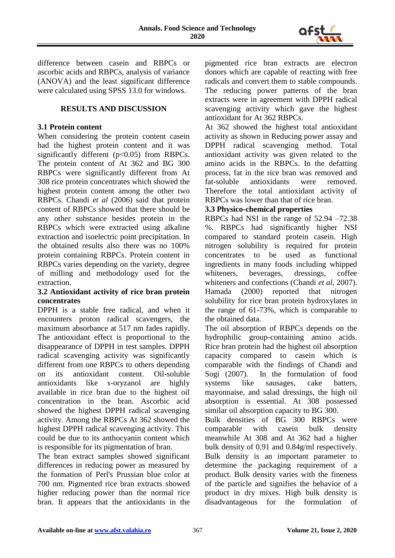

difference between casein and RBPCs or ascorbic acids and RBPCs, analysis of variance (ANOVA) and the least significant difference were calculated using SPSS 13.0 for windows.

### **RESULTS AND DISCUSSION**

### **3.1 Protein content**

When considering the protein content casein had the highest protein content and it was significantly different  $(p<0.05)$  from RBPCs. The protein content of At 362 and BG 300 RBPCs were significantly different from At 308 rice protein concentrates which showed the highest protein content among the other two RBPCs. Chandi *et al* (2006) said that protein content of RBPCs showed that there should be any other substance besides protein in the RBPCs which were extracted using alkaline extraction and isoelectric point precipitation. In the obtained results also there was no 100% protein containing RBPCs. Protein content in RBPCs varies depending on the variety, degree of milling and methodology used for the extraction.

#### **3.2 Antioxidant activity of rice bran protein concentrates**

DPPH is a stable free radical, and when it encounters proton radical scavengers, the maximum absorbance at 517 nm fades rapidly. The antioxidant effect is proportional to the disappearance of DPPH in test samples. DPPH radical scavenging activity was significantly different from one RBPCs to others depending on its antioxidant content. Oil-soluble antioxidants like ɤ-oryzanol are highly available in rice bran due to the highest oil concentration in the bran. Ascorbic acid showed the highest DPPH radical scavenging activity. Among the RBPCs At 362 showed the highest DPPH radical scavenging activity. This could be due to its anthocyanin content which is responsible for its pigmentation of bran.

The bran extract samples showed significant differences in reducing power as measured by the formation of Perl's Prussian blue color at 700 nm. Pigmented rice bran extracts showed higher reducing power than the normal rice bran. It appears that the antioxidants in the pigmented rice bran extracts are electron donors which are capable of reacting with free radicals and convert them to stable compounds. The reducing power patterns of the bran extracts were in agreement with DPPH radical scavenging activity which gave the highest antioxidant for At 362 RBPCs.

At 362 showed the highest total antioxidant activity as shown in Reducing power assay and DPPH radical scavenging method. Total antioxidant activity was given related to the amino acids in the RBPCs. In the defatting process, fat in the rice bran was removed and fat-soluble antioxidants were removed. Therefore the total antioxidant activity of RBPCs was lower than that of rice bran.

#### **3.3 Physico-chemical properties**

RBPCs had NSI in the range of 52.94 –72.38 %. RBPCs had significantly higher NSI compared to standard protein casein. High nitrogen solubility is required for protein concentrates to be used as functional ingredients in many foods including whipped whiteners, beverages, dressings, coffee whiteners and confections (Chandi *et al,* 2007). Hamada (2000) reported that nitrogen solubility for rice bran protein hydroxylates in the range of 61-73%, which is comparable to the obtained data.

The oil absorption of RBPCs depends on the hydrophilic group-containing amino acids. Rice bran protein had the highest oil absorption capacity compared to casein which is comparable with the findings of Chandi and Sogi (2007). In the formulation of food systems like sausages, cake batters, mayonnaise, and salad dressings, the high oil absorption is essential. At 308 possessed similar oil absorption capacity to BG 300.

Bulk densities of BG 300 RBPCs were comparable with casein bulk density meanwhile At 308 and At 362 had a higher bulk density of 0.91 and 0.84g/ml respectively. Bulk density is an important parameter to determine the packaging requirement of a product. Bulk density varies with the fineness of the particle and signifies the behavior of a product in dry mixes. High bulk density is disadvantageous for the formulation of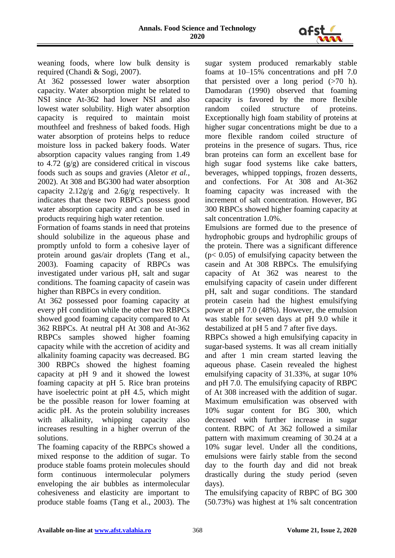

weaning foods, where low bulk density is required (Chandi & Sogi, 2007).

At 362 possessed lower water absorption capacity. Water absorption might be related to NSI since At-362 had lower NSI and also lowest water solubility. High water absorption capacity is required to maintain moist mouthfeel and freshness of baked foods. High water absorption of proteins helps to reduce moisture loss in packed bakery foods. Water absorption capacity values ranging from 1.49 to 4.72  $(g/g)$  are considered critical in viscous foods such as soups and gravies (Aletor *et al.,* 2002). At 308 and BG300 had water absorption capacity 2.12g/g and 2.6g/g respectively. It indicates that these two RBPCs possess good water absorption capacity and can be used in products requiring high water retention.

Formation of foams stands in need that proteins should solubilize in the aqueous phase and promptly unfold to form a cohesive layer of protein around gas/air droplets (Tang et al., 2003). Foaming capacity of RBPCs was investigated under various pH, salt and sugar conditions. The foaming capacity of casein was higher than RBPCs in every condition.

At 362 possessed poor foaming capacity at every pH condition while the other two RBPCs showed good foaming capacity compared to At 362 RBPCs. At neutral pH At 308 and At-362 RBPCs samples showed higher foaming capacity while with the accretion of acidity and alkalinity foaming capacity was decreased. BG 300 RBPCs showed the highest foaming capacity at pH 9 and it showed the lowest foaming capacity at pH 5. Rice bran proteins have isoelectric point at pH 4.5, which might be the possible reason for lower foaming at acidic pH. As the protein solubility increases with alkalinity, whipping capacity also increases resulting in a higher overrun of the solutions.

The foaming capacity of the RBPCs showed a mixed response to the addition of sugar. To produce stable foams protein molecules should form continuous intermolecular polymers enveloping the air bubbles as intermolecular cohesiveness and elasticity are important to produce stable foams (Tang et al., 2003). The

sugar system produced remarkably stable foams at 10–15% concentrations and pH 7.0 that persisted over a long period  $(>70 \text{ h})$ . Damodaran (1990) observed that foaming capacity is favored by the more flexible random coiled structure of proteins. Exceptionally high foam stability of proteins at higher sugar concentrations might be due to a more flexible random coiled structure of proteins in the presence of sugars. Thus, rice bran proteins can form an excellent base for high sugar food systems like cake batters, beverages, whipped toppings, frozen desserts, and confections. For At 308 and At-362 foaming capacity was increased with the increment of salt concentration. However, BG 300 RBPCs showed higher foaming capacity at salt concentration 1.0%.

Emulsions are formed due to the presence of hydrophobic groups and hydrophilic groups of the protein. There was a significant difference (p< 0.05) of emulsifying capacity between the casein and At 308 RBPCs. The emulsifying capacity of At 362 was nearest to the emulsifying capacity of casein under different pH, salt and sugar conditions. The standard protein casein had the highest emulsifying power at pH 7.0 (48%). However, the emulsion was stable for seven days at pH 9.0 while it destabilized at pH 5 and 7 after five days.

RBPCs showed a high emulsifying capacity in sugar-based systems. It was all cream initially and after 1 min cream started leaving the aqueous phase. Casein revealed the highest emulsifying capacity of 31.33%, at sugar 10% and pH 7.0. The emulsifying capacity of RBPC of At 308 increased with the addition of sugar. Maximum emulsification was observed with 10% sugar content for BG 300, which decreased with further increase in sugar content. RBPC of At 362 followed a similar pattern with maximum creaming of 30.24 at a 10% sugar level. Under all the conditions, emulsions were fairly stable from the second day to the fourth day and did not break drastically during the study period (seven days).

The emulsifying capacity of RBPC of BG 300 (50.73%) was highest at 1% salt concentration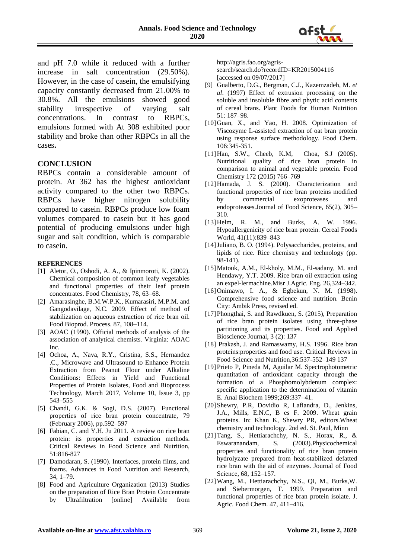

and pH 7.0 while it reduced with a further increase in salt concentration (29.50%). However, in the case of casein, the emulsifying capacity constantly decreased from 21.00% to 30.8%. All the emulsions showed good stability irrespective of varying salt concentrations. In contrast to RBPCs, emulsions formed with At 308 exhibited poor stability and broke than other RBPCs in all the cases**.** 

#### **CONCLUSION**

RBPCs contain a considerable amount of protein. At 362 has the highest antioxidant activity compared to the other two RBPCs. RBPCs have higher nitrogen solubility compared to casein. RBPCs produce low foam volumes compared to casein but it has good potential of producing emulsions under high sugar and salt condition, which is comparable to casein.

#### **REFERENCES**

- [1] Aletor, O., Oshodi, A. A., & Ipinmoroti, K. (2002). Chemical composition of common leafy vegetables and functional properties of their leaf protein concentrates. Food Chemistry, 78, 63–68.
- [2] Amarasinghe, B.M.W.P.K., Kumarasiri, M.P.M. and Gangodavilage, N.C. 2009. Effect of method of stabilization on aqueous extraction of rice bran oil. Food Bioprod. Process. 87, 108–114.
- [3] AOAC (1990). Official methods of analysis of the association of analytical chemists. Virginia: AOAC Inc.
- [4] Ochoa, A., Nava, R.Y., Cristina, S.S., Hernandez .C., Microwave and Ultrasound to Enhance Protein Extraction from Peanut Flour under Alkaline Conditions: Effects in Yield and Functional Properties of Protein Isolates, Food and Bioprocess Technology, March 2017, Volume 10, Issue 3, pp 543–555
- [5] Chandi, G.K. & Sogi, D.S. (2007). Functional properties of rice bran protein concentrate, 79 (February 2006), pp.592–597
- [6] Fabian, C. and Y.H. Ju 2011. A review on rice bran protein: its properties and extraction methods. Critical Reviews in Food Science and Nutrition, 51:816-827
- [7] Damodaran, S. (1990). Interfaces, protein films, and foams. Advances in Food Nutrition and Research, 34, 1–79.
- [8] Food and Agriculture Organization (2013) Studies on the preparation of Rice Bran Protein Concentrate by Ultrafiltration [online] Available from

http://agris.fao.org/agrissearch/search.do?recordID=KR2015004116 [accessed on 09/07/2017]

- [9] Gualberto, D.G., Bergman, C.J., Kazemzadeh, M. *et al*. (1997) Effect of extrusion processing on the soluble and insoluble fibre and phytic acid contents of cereal brans. Plant Foods for Human Nutrition 51: 187–98.
- [10]Guan, X., and Yao, H. 2008. Optimization of Viscozyme L-assisted extraction of oat bran protein using response surface methodology. Food Chem. 106:345-351.
- [11]Han, S.W., Cheeb, K.M, Choa, S.J (2005). Nutritional quality of rice bran protein in comparison to animal and vegetable protein. Food Chemistry 172 (2015) 766–769
- [12] Hamada, J. S. (2000). Characterization and functional properties of rice bran proteins modified by commercial exoproteases and endoproteases.Journal of Food Science, 65(2), 305– 310.
- [13] Helm, R. M., and Burks, A. W. 1996. Hypoallergenicity of rice bran protein. Cereal Foods World, 41(11):839–843
- [14] Juliano, B. O. (1994). Polysaccharides, proteins, and lipids of rice. Rice chemistry and technology (pp. 98-141).
- [15]Matouk, A.M., El-kholy, M.M., El-sadany, M. and Hendawy, Y.T. 2009. Rice bran oil extraction using an expel-lermachine.Misr J.Agric. Eng. 26,324–342.
- [16] Onimawo, I. A., & Egbekun, N. M. (1998). Comprehensive food science and nutrition. Benin City: Ambik Press, revised ed.
- [17]Phongthai, S. and Rawdkuen, S. (2015), Preparation of rice bran protein isolates using three-phase partitioning and its properties. Food and Applied Bioscience Journal, 3 (2): 137
- [18] Prakash, J. and Ramaswamy, H.S. 1996. Rice bran proteins:properties and food use. Critical Reviews in Food Science and Nutrition,36:537-552–149 137
- [19]Prieto P, Pineda M, Aguilar M. Spectrophotometric quantitation of antioxidant capacity through the formation of a Phosphomolybdenum complex: specific application to the determination of vitamin E. Anal Biochem 1999;269:337–41.
- [20]Shewry, P.R, Dovidio R, Lafiandra, D., Jenkins, J.A., Mills, E.N.C, B es F. 2009. Wheat grain proteins. In: Khan K, Shewry PR, editors.Wheat chemistry and technology. 2nd ed. St. Paul, Minn
- [21]Tang, S., Hettiarachchy, N. S., Horax, R., & Eswaranandam, S. (2003).Physicochemical properties and functionality of rice bran protein hydrolyzate prepared from heat-stabilized defatted rice bran with the aid of enzymes. Journal of Food Science, 68, 152–157.
- [22]Wang, M., Hettiarachchy, N.S., QI, M., Burks,W. and Siebermorgen, T. 1999. Preparation and functional properties of rice bran protein isolate. J. Agric. Food Chem. 47, 411–416.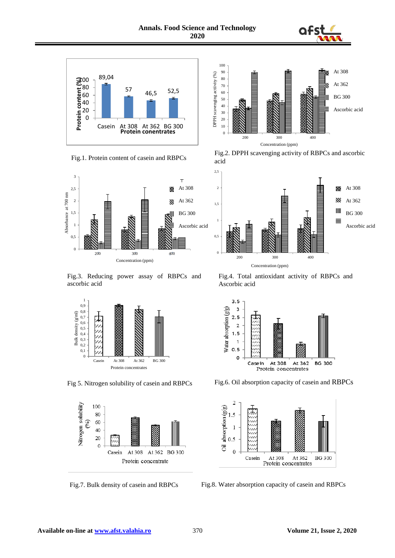







Fig.3. Reducing power assay of RBPCs and ascorbic acid





Fig.7. Bulk density of casein and RBPCs



Fig.2. DPPH scavenging activity of RBPCs and ascorbic acid



Fig.4. Total antioxidant activity of RBPCs and Ascorbic acid



Fig 5. Nitrogen solubility of casein and RBPCs Fig.6. Oil absorption capacity of casein and RBPCs



Fig.8. Water absorption capacity of casein and RBPCs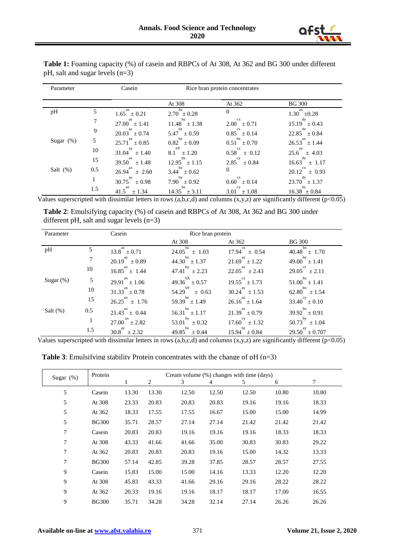

| Parameter    |     | Casein                        | Rice bran protein concentrates |                             |                             |  |
|--------------|-----|-------------------------------|--------------------------------|-----------------------------|-----------------------------|--|
|              |     |                               | At 308                         | At 362                      | <b>BG 300</b>               |  |
| pH           | 5   | ax<br>$1.65^{\circ} \pm 0.21$ | $2.70^{bx}$ ± 0.28             | $\theta$                    | ax<br>$1.30^{-} \pm 0.28$   |  |
|              |     | $27.00^{ay} \pm 1.41$         | $11.48^{by} \pm 1.38$          | $2.00^{\text{cx}} \pm 0.71$ | $15.19^{dy} \pm 0.43$       |  |
|              | 9   | $20.03^{az} \pm 0.74$         | $5.47^{bx} \pm 0.59$           | $0.85^{ex} \pm 0.14$        | $22.85^{dz} \pm 0.84$       |  |
| Sugar $(\%)$ | 5   | $25.71^{ax} \pm 0.85$         | $0.82^{bx} \pm 0.09$           | $0.51^{bx} \pm 0.70$        | $26.53^{ax} \pm 1.44$       |  |
|              | 10  | $31.04^{ay} \pm 1.40$         | $8.1^{bY} \pm 1.20$            | $0.58^{cx} \pm 0.12$        | $25.6^{ay} \pm 4.03$        |  |
|              | 15  | $39.50^{ax} \pm 1.48$         | $12.95^{bz} \pm 1.15$          | $2.85^{\text{cy}} \pm 0.84$ | $16.63^{dz} \pm 1.17$       |  |
| Salt $(\%)$  | 0.5 | $26.94^{ax} \pm 2.60$         | $3.44^{bx} \pm 0.62$           | 0                           | $20.12^{cx} \pm 0.93$       |  |
|              | 1   | $30.75^{ay} \pm 0.98$         | $7.90^{by} \pm 0.92$           | cx<br>$0.60 \pm 0.14$       | $23.70^{dy} \pm 1.37$       |  |
|              | 1.5 | $41.5^{az} \pm 1.34$          | $14.35^{20} \pm 3.11$          | $3.01^{\text{cy}} \pm 1.08$ | bz<br>$16.38^{+1} \pm 0.84$ |  |

**Table 1:** Foaming capacity (%) of casein and RBPCs of At 308, At 362 and BG 300 under different pH, salt and sugar levels (n=3)

Values superscripted with dissimilar letters in rows  $(a,b,c,d)$  and columns  $(x,y,z)$  are significantly different  $(p<0.05)$ 

**Table 2**: Emulsifying capacity (%) of casein and RBPCs of At 308, At 362 and BG 300 under different pH, salt and sugar levels (n=3)

| Parameter    |     | Casein                | Rice bran protein              |                               |                                 |
|--------------|-----|-----------------------|--------------------------------|-------------------------------|---------------------------------|
|              |     |                       | At 308                         | At 362                        | <b>BG</b> 300                   |
| pH           | 5   | $13.8^{ax} \pm 0.71$  | bx<br>24.05<br>$+1.03$         | <b>CX</b><br>17.94<br>$+0.54$ | bx<br>$40.48 \pm 1.70$          |
|              | 7   | $20.19^{ay} \pm 0.89$ | $44.30^{by} \pm 1.37$          | $21.69^{ax} \pm 1.22$         | $49.00^{by} \pm 1.41$           |
|              | 10  | $16.85^{ax} \pm 1.44$ | $47.41^{by} \pm 2.23$          | $22.05^{ax} \pm 2.43$         | $29.05^{\text{cz}} \pm 2.11$    |
| Sugar $(\%)$ | 5   | $29.91^{ax} \pm 1.06$ | $49.36^{bX} \pm 0.57$          | $19.55^{ex} \pm 1.73$         | $51.00^{bx} \pm 1.41$           |
|              | 10  | $31.33^{ax} \pm 0.78$ | $54.29^{bY}$<br>$+0.63$        | $30.24^{ay} \pm 1.53$         | $62.80^{bx} \pm 1.54$           |
|              | 15  | $26.25^{ax} \pm 1.76$ | $59.39^{bz} \pm 1.49$          | $26.16^{az} \pm 1.64$         | $33.40^{\text{cy}} \pm 0.10$    |
| Salt $(\%)$  | 0.5 | $21.43^{ax} \pm 0.44$ | $56.31^{bx} \pm 1.17$          | $21.39^{ax} \pm 0.79$         | $39.92^{bx} \pm 0.91$           |
|              | 1   | $27.00^{ax} \pm 2.82$ | 53.01 <sup>by</sup> $\pm$ 0.32 | $17.60^{\text{cy}} \pm 1.32$  | $50.73$ <sup>by</sup><br>± 1.04 |
|              | 1.5 | $30.8^{ay} \pm 2.32$  | $49.85^{bz}$<br>$\pm 0.44$     | $15.94^{bz} \pm 0.84$         | $29.50^{ay} \pm 0.707$          |

Values superscripted with dissimilar letters in rows (a,b,c,d) and columns  $(x,y,z)$  are significantly different ( $p<0.05$ )

**Table 3**: Emulsifying stability Protein concentrates with the change of pH (n=3)

| Sugar $(\%)$ | Cream volume (%) changes with time (days)<br>Protein |       |                |       |       |       |       |       |
|--------------|------------------------------------------------------|-------|----------------|-------|-------|-------|-------|-------|
|              |                                                      | 1     | $\overline{c}$ | 3     | 4     | 5     | 6     | 7     |
| 5            | Casein                                               | 13.30 | 13.30          | 12.50 | 12.50 | 12.50 | 10.80 | 10.80 |
| 5            | At 308                                               | 23.33 | 20.83          | 20.83 | 20.83 | 19.16 | 19.16 | 18.33 |
| 5            | At 362                                               | 18.33 | 17.55          | 17.55 | 16.67 | 15.00 | 15.00 | 14.99 |
| 5            | <b>BG300</b>                                         | 35.71 | 28.57          | 27.14 | 27.14 | 21.42 | 21.42 | 21.42 |
| 7            | Casein                                               | 20.83 | 20.83          | 19.16 | 19.16 | 19.16 | 18.33 | 18.33 |
| 7            | At 308                                               | 43.33 | 41.66          | 41.66 | 35.00 | 30.83 | 30.83 | 29.22 |
| 7            | At 362                                               | 20.83 | 20.83          | 20.83 | 19.16 | 15.00 | 14.32 | 13.33 |
| 7            | <b>BG300</b>                                         | 57.14 | 42.85          | 39.28 | 37.85 | 28.57 | 28.57 | 27.55 |
| 9            | Casein                                               | 15.83 | 15.00          | 15.00 | 14.16 | 13.33 | 12.20 | 12.20 |
| 9            | At 308                                               | 45.83 | 43.33          | 41.66 | 29.16 | 29.16 | 28.22 | 28.22 |
| 9            | At 362                                               | 20.33 | 19.16          | 19.16 | 18.17 | 18.17 | 17.00 | 16.55 |
| 9            | <b>BG300</b>                                         | 35.71 | 34.28          | 34.28 | 32.14 | 27.14 | 26.26 | 26.26 |